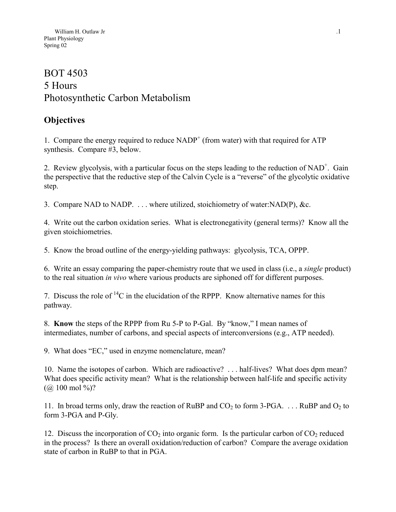# BOT 4503 5 Hours Photosynthetic Carbon Metabolism

# **Objectives**

1. Compare the energy required to reduce  $NADP<sup>+</sup>$  (from water) with that required for ATP synthesis. Compare #3, below.

2. Review glycolysis, with a particular focus on the steps leading to the reduction of  $NAD^+$ . Gain the perspective that the reductive step of the Calvin Cycle is a "reverse" of the glycolytic oxidative step.

3. Compare NAD to NADP. . . . where utilized, stoichiometry of water:NAD(P), &c.

4. Write out the carbon oxidation series. What is electronegativity (general terms)? Know all the given stoichiometries.

5. Know the broad outline of the energy-yielding pathways: glycolysis, TCA, OPPP.

6. Write an essay comparing the paper-chemistry route that we used in class (i.e., a *single* product) to the real situation *in vivo* where various products are siphoned off for different purposes.

7. Discuss the role of  ${}^{14}C$  in the elucidation of the RPPP. Know alternative names for this pathway.

8. **Know** the steps of the RPPP from Ru 5-P to P-Gal. By "know," I mean names of intermediates, number of carbons, and special aspects of interconversions (e.g., ATP needed).

9. What does "EC," used in enzyme nomenclature, mean?

10. Name the isotopes of carbon. Which are radioactive? . . . half-lives? What does dpm mean? What does specific activity mean? What is the relationship between half-life and specific activity  $(Q<sub>0</sub> 100 \text{ mol } 96)$ ?

11. In broad terms only, draw the reaction of RuBP and  $CO_2$  to form 3-PGA. . . . RuBP and  $O_2$  to form 3-PGA and P-Gly.

12. Discuss the incorporation of  $CO<sub>2</sub>$  into organic form. Is the particular carbon of  $CO<sub>2</sub>$  reduced in the process? Is there an overall oxidation/reduction of carbon? Compare the average oxidation state of carbon in RuBP to that in PGA.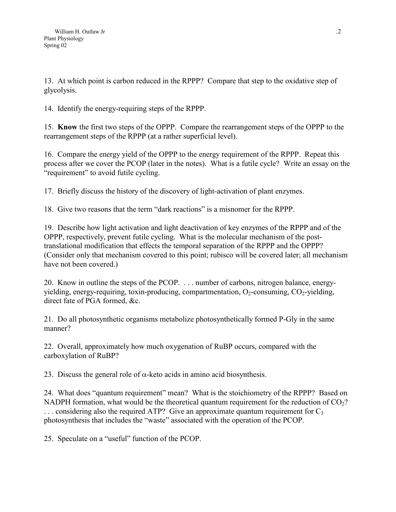13. At which point is carbon reduced in the RPPP? Compare that step to the oxidative step of glycolysis.

14. Identify the energy-requiring steps of the RPPP.

15. **Know** the first two steps of the OPPP. Compare the rearrangement steps of the OPPP to the rearrangement steps of the RPPP (at a rather superficial level).

16. Compare the energy yield of the OPPP to the energy requirement of the RPPP. Repeat this process after we cover the PCOP (later in the notes). What is a futile cycle? Write an essay on the "requirement" to avoid futile cycling.

17. Briefly discuss the history of the discovery of light-activation of plant enzymes.

18. Give two reasons that the term "dark reactions" is a misnomer for the RPPP.

19. Describe how light activation and light deactivation of key enzymes of the RPPP and of the OPPP, respectively, prevent futile cycling. What is the molecular mechanism of the posttranslational modification that effects the temporal separation of the RPPP and the OPPP? (Consider only that mechanism covered to this point; rubisco will be covered later; all mechanism have not been covered.)

20. Know in outline the steps of the PCOP. . . . number of carbons, nitrogen balance, energyyielding, energy-requiring, toxin-producing, compartmentation,  $O_2$ -consuming,  $CO_2$ -yielding, direct fate of PGA formed, &c.

21. Do all photosynthetic organisms metabolize photosynthetically formed P-Gly in the same manner?

22. Overall, approximately how much oxygenation of RuBP occurs, compared with the carboxylation of RuBP?

23. Discuss the general role of  $\alpha$ -keto acids in amino acid biosynthesis.

24. What does "quantum requirement" mean? What is the stoichiometry of the RPPP? Based on NADPH formation, what would be the theoretical quantum requirement for the reduction of  $CO<sub>2</sub>$ ?  $\ldots$  considering also the required ATP? Give an approximate quantum requirement for  $C_3$ photosynthesis that includes the "waste" associated with the operation of the PCOP.

25. Speculate on a "useful" function of the PCOP.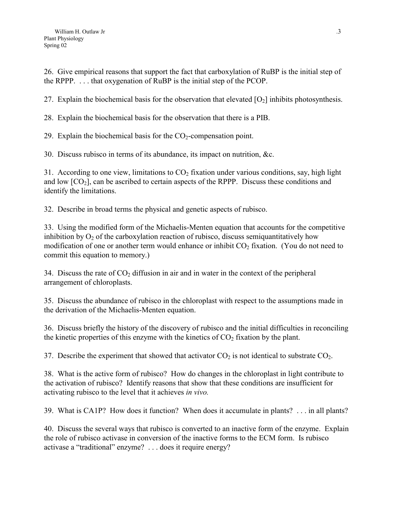26. Give empirical reasons that support the fact that carboxylation of RuBP is the initial step of the RPPP. . . . that oxygenation of RuBP is the initial step of the PCOP.

27. Explain the biochemical basis for the observation that elevated  $[O_2]$  inhibits photosynthesis.

28. Explain the biochemical basis for the observation that there is a PIB.

29. Explain the biochemical basis for the  $CO<sub>2</sub>$ -compensation point.

30. Discuss rubisco in terms of its abundance, its impact on nutrition, &c.

31. According to one view, limitations to  $CO<sub>2</sub>$  fixation under various conditions, say, high light and low  $[CO<sub>2</sub>]$ , can be ascribed to certain aspects of the RPPP. Discuss these conditions and identify the limitations.

32. Describe in broad terms the physical and genetic aspects of rubisco.

33. Using the modified form of the Michaelis-Menten equation that accounts for the competitive inhibition by  $O_2$  of the carboxylation reaction of rubisco, discuss semiquantitatively how modification of one or another term would enhance or inhibit  $CO<sub>2</sub>$  fixation. (You do not need to commit this equation to memory.)

34. Discuss the rate of  $CO<sub>2</sub>$  diffusion in air and in water in the context of the peripheral arrangement of chloroplasts.

35. Discuss the abundance of rubisco in the chloroplast with respect to the assumptions made in the derivation of the Michaelis-Menten equation.

36. Discuss briefly the history of the discovery of rubisco and the initial difficulties in reconciling the kinetic properties of this enzyme with the kinetics of  $CO<sub>2</sub>$  fixation by the plant.

37. Describe the experiment that showed that activator  $CO<sub>2</sub>$  is not identical to substrate  $CO<sub>2</sub>$ .

38. What is the active form of rubisco? How do changes in the chloroplast in light contribute to the activation of rubisco? Identify reasons that show that these conditions are insufficient for activating rubisco to the level that it achieves *in vivo.*

39. What is CA1P? How does it function? When does it accumulate in plants? . . . in all plants?

40. Discuss the several ways that rubisco is converted to an inactive form of the enzyme. Explain the role of rubisco activase in conversion of the inactive forms to the ECM form. Is rubisco activase a "traditional" enzyme? . . . does it require energy?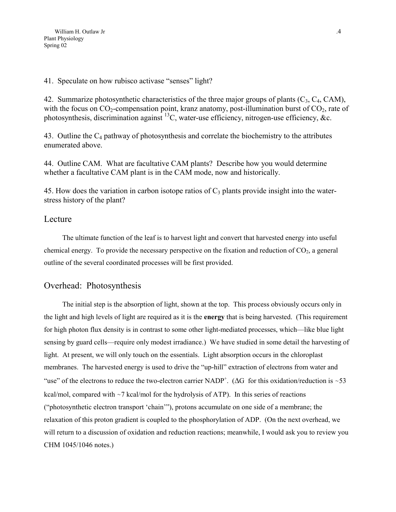#### 41. Speculate on how rubisco activase "senses" light?

42. Summarize photosynthetic characteristics of the three major groups of plants  $(C_3, C_4, CAM)$ , with the focus on  $CO_2$ -compensation point, kranz anatomy, post-illumination burst of  $CO_2$ , rate of photosynthesis, discrimination against  $^{13}$ C, water-use efficiency, nitrogen-use efficiency, &c.

43. Outline the  $C_4$  pathway of photosynthesis and correlate the biochemistry to the attributes enumerated above.

44. Outline CAM. What are facultative CAM plants? Describe how you would determine whether a facultative CAM plant is in the CAM mode, now and historically.

45. How does the variation in carbon isotope ratios of  $C_3$  plants provide insight into the waterstress history of the plant?

### Lecture

The ultimate function of the leaf is to harvest light and convert that harvested energy into useful chemical energy. To provide the necessary perspective on the fixation and reduction of  $CO<sub>2</sub>$ , a general outline of the several coordinated processes will be first provided.

## Overhead: Photosynthesis

The initial step is the absorption of light, shown at the top. This process obviously occurs only in the light and high levels of light are required as it is the **energy** that is being harvested. (This requirement for high photon flux density is in contrast to some other light-mediated processes, which—like blue light sensing by guard cells—require only modest irradiance.) We have studied in some detail the harvesting of light. At present, we will only touch on the essentials. Light absorption occurs in the chloroplast membranes. The harvested energy is used to drive the "up-hill" extraction of electrons from water and "use" of the electrons to reduce the two-electron carrier NADP<sup>+</sup>. ( $\Delta G$  for this oxidation/reduction is ~53 kcal/mol, compared with ~7 kcal/mol for the hydrolysis of ATP). In this series of reactions ("photosynthetic electron transport 'chain'"), protons accumulate on one side of a membrane; the relaxation of this proton gradient is coupled to the phosphorylation of ADP. (On the next overhead, we will return to a discussion of oxidation and reduction reactions; meanwhile, I would ask you to review you CHM 1045/1046 notes.)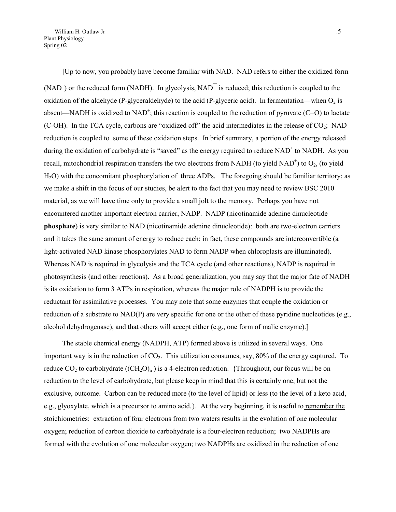[Up to now, you probably have become familiar with NAD. NAD refers to either the oxidized form  $(NAD<sup>+</sup>)$  or the reduced form (NADH). In glycolysis, NAD<sup>+</sup> is reduced; this reduction is coupled to the oxidation of the aldehyde (P-glyceraldehyde) to the acid (P-glyceric acid). In fermentation—when  $O_2$  is absent—NADH is oxidized to NAD<sup>+</sup>; this reaction is coupled to the reduction of pyruvate (C=O) to lactate (C-OH). In the TCA cycle, carbons are "oxidized off" the acid intermediates in the release of  $CO_2$ ; NAD<sup>+</sup> reduction is coupled to some of these oxidation steps. In brief summary, a portion of the energy released during the oxidation of carbohydrate is "saved" as the energy required to reduce NAD<sup>+</sup> to NADH. As you recall, mitochondrial respiration transfers the two electrons from NADH (to yield NAD<sup>+</sup>) to  $O_2$ , (to yield H2O) with the concomitant phosphorylation of three ADPs. The foregoing should be familiar territory; as we make a shift in the focus of our studies, be alert to the fact that you may need to review BSC 2010 material, as we will have time only to provide a small jolt to the memory. Perhaps you have not encountered another important electron carrier, NADP. NADP (nicotinamide adenine dinucleotide **phosphate**) is very similar to NAD (nicotinamide adenine dinucleotide): both are two-electron carriers and it takes the same amount of energy to reduce each; in fact, these compounds are interconvertible (a light-activated NAD kinase phosphorylates NAD to form NADP when chloroplasts are illuminated). Whereas NAD is required in glycolysis and the TCA cycle (and other reactions), NADP is required in photosynthesis (and other reactions). As a broad generalization, you may say that the major fate of NADH is its oxidation to form 3 ATPs in respiration, whereas the major role of NADPH is to provide the reductant for assimilative processes. You may note that some enzymes that couple the oxidation or reduction of a substrate to NAD(P) are very specific for one or the other of these pyridine nucleotides (e.g., alcohol dehydrogenase), and that others will accept either (e.g., one form of malic enzyme).]

The stable chemical energy (NADPH, ATP) formed above is utilized in several ways. One important way is in the reduction of  $CO<sub>2</sub>$ . This utilization consumes, say, 80% of the energy captured. To reduce  $CO_2$  to carbohydrate  $((CH_2O)_n)$  is a 4-electron reduction. {Throughout, our focus will be on reduction to the level of carbohydrate, but please keep in mind that this is certainly one, but not the exclusive, outcome. Carbon can be reduced more (to the level of lipid) or less (to the level of a keto acid, e.g., glyoxylate, which is a precursor to amino acid.}. At the very beginning, it is useful to remember the stoichiometries: extraction of four electrons from two waters results in the evolution of one molecular oxygen; reduction of carbon dioxide to carbohydrate is a four-electron reduction; two NADPHs are formed with the evolution of one molecular oxygen; two NADPHs are oxidized in the reduction of one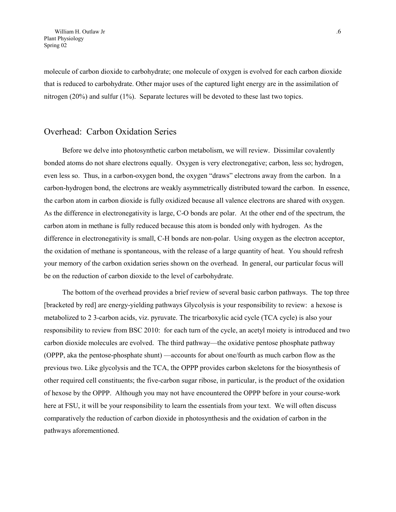molecule of carbon dioxide to carbohydrate; one molecule of oxygen is evolved for each carbon dioxide that is reduced to carbohydrate. Other major uses of the captured light energy are in the assimilation of nitrogen (20%) and sulfur (1%). Separate lectures will be devoted to these last two topics.

#### Overhead: Carbon Oxidation Series

Before we delve into photosynthetic carbon metabolism, we will review. Dissimilar covalently bonded atoms do not share electrons equally. Oxygen is very electronegative; carbon, less so; hydrogen, even less so. Thus, in a carbon-oxygen bond, the oxygen "draws" electrons away from the carbon. In a carbon-hydrogen bond, the electrons are weakly asymmetrically distributed toward the carbon. In essence, the carbon atom in carbon dioxide is fully oxidized because all valence electrons are shared with oxygen. As the difference in electronegativity is large, C-O bonds are polar. At the other end of the spectrum, the carbon atom in methane is fully reduced because this atom is bonded only with hydrogen. As the difference in electronegativity is small, C-H bonds are non-polar. Using oxygen as the electron acceptor, the oxidation of methane is spontaneous, with the release of a large quantity of heat. You should refresh your memory of the carbon oxidation series shown on the overhead. In general, our particular focus will be on the reduction of carbon dioxide to the level of carbohydrate.

The bottom of the overhead provides a brief review of several basic carbon pathways. The top three [bracketed by red] are energy-yielding pathways Glycolysis is your responsibility to review: a hexose is metabolized to 2 3-carbon acids, viz. pyruvate. The tricarboxylic acid cycle (TCA cycle) is also your responsibility to review from BSC 2010: for each turn of the cycle, an acetyl moiety is introduced and two carbon dioxide molecules are evolved. The third pathway—the oxidative pentose phosphate pathway (OPPP, aka the pentose-phosphate shunt) —accounts for about one/fourth as much carbon flow as the previous two. Like glycolysis and the TCA, the OPPP provides carbon skeletons for the biosynthesis of other required cell constituents; the five-carbon sugar ribose, in particular, is the product of the oxidation of hexose by the OPPP. Although you may not have encountered the OPPP before in your course-work here at FSU, it will be your responsibility to learn the essentials from your text. We will often discuss comparatively the reduction of carbon dioxide in photosynthesis and the oxidation of carbon in the pathways aforementioned.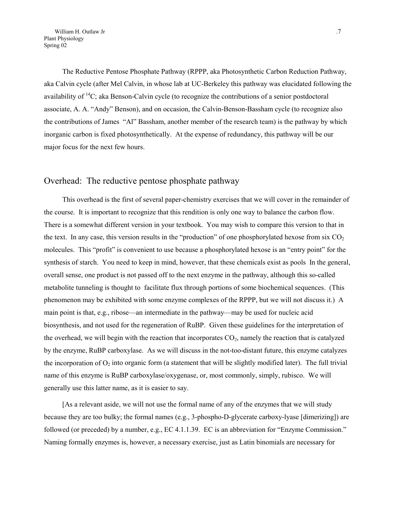The Reductive Pentose Phosphate Pathway (RPPP, aka Photosynthetic Carbon Reduction Pathway, aka Calvin cycle (after Mel Calvin, in whose lab at UC-Berkeley this pathway was elucidated following the availability of  ${}^{14}C$ ; aka Benson-Calvin cycle (to recognize the contributions of a senior postdoctoral associate, A. A. "Andy" Benson), and on occasion, the Calvin-Benson-Bassham cycle (to recognize also the contributions of James "Al" Bassham, another member of the research team) is the pathway by which inorganic carbon is fixed photosynthetically. At the expense of redundancy, this pathway will be our major focus for the next few hours.

#### Overhead: The reductive pentose phosphate pathway

This overhead is the first of several paper-chemistry exercises that we will cover in the remainder of the course. It is important to recognize that this rendition is only one way to balance the carbon flow. There is a somewhat different version in your textbook. You may wish to compare this version to that in the text. In any case, this version results in the "production" of one phosphorylated hexose from six  $CO<sub>2</sub>$ molecules. This "profit" is convenient to use because a phosphorylated hexose is an "entry point" for the synthesis of starch. You need to keep in mind, however, that these chemicals exist as pools In the general, overall sense, one product is not passed off to the next enzyme in the pathway, although this so-called metabolite tunneling is thought to facilitate flux through portions of some biochemical sequences. (This phenomenon may be exhibited with some enzyme complexes of the RPPP, but we will not discuss it.) A main point is that, e.g., ribose—an intermediate in the pathway—may be used for nucleic acid biosynthesis, and not used for the regeneration of RuBP. Given these guidelines for the interpretation of the overhead, we will begin with the reaction that incorporates  $CO<sub>2</sub>$ , namely the reaction that is catalyzed by the enzyme, RuBP carboxylase. As we will discuss in the not-too-distant future, this enzyme catalyzes the incorporation of  $O_2$  into organic form (a statement that will be slightly modified later). The full trivial name of this enzyme is RuBP carboxylase/oxygenase, or, most commonly, simply, rubisco. We will generally use this latter name, as it is easier to say.

[As a relevant aside, we will not use the formal name of any of the enzymes that we will study because they are too bulky; the formal names (e.g., 3-phospho-D-glycerate carboxy-lyase [dimerizing]) are followed (or preceded) by a number, e.g., EC 4.1.1.39. EC is an abbreviation for "Enzyme Commission." Naming formally enzymes is, however, a necessary exercise, just as Latin binomials are necessary for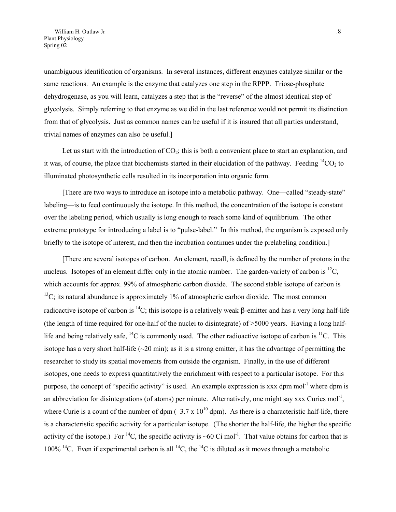unambiguous identification of organisms. In several instances, different enzymes catalyze similar or the same reactions. An example is the enzyme that catalyzes one step in the RPPP. Triose-phosphate dehydrogenase, as you will learn, catalyzes a step that is the "reverse" of the almost identical step of glycolysis. Simply referring to that enzyme as we did in the last reference would not permit its distinction from that of glycolysis. Just as common names can be useful if it is insured that all parties understand, trivial names of enzymes can also be useful.]

Let us start with the introduction of  $CO<sub>2</sub>$ ; this is both a convenient place to start an explanation, and it was, of course, the place that biochemists started in their elucidation of the pathway. Feeding  ${}^{14}CO_2$  to illuminated photosynthetic cells resulted in its incorporation into organic form.

[There are two ways to introduce an isotope into a metabolic pathway. One—called "steady-state" labeling—is to feed continuously the isotope. In this method, the concentration of the isotope is constant over the labeling period, which usually is long enough to reach some kind of equilibrium. The other extreme prototype for introducing a label is to "pulse-label." In this method, the organism is exposed only briefly to the isotope of interest, and then the incubation continues under the prelabeling condition.]

[There are several isotopes of carbon. An element, recall, is defined by the number of protons in the nucleus. Isotopes of an element differ only in the atomic number. The garden-variety of carbon is  ${}^{12}C$ , which accounts for approx. 99% of atmospheric carbon dioxide. The second stable isotope of carbon is  $13^{\text{C}}$ ; its natural abundance is approximately 1% of atmospheric carbon dioxide. The most common radioactive isotope of carbon is <sup>14</sup>C; this isotope is a relatively weak  $\beta$ -emitter and has a very long half-life (the length of time required for one-half of the nuclei to disintegrate) of >5000 years. Having a long halflife and being relatively safe,  ${}^{14}C$  is commonly used. The other radioactive isotope of carbon is  ${}^{11}C$ . This isotope has a very short half-life  $(\sim 20 \text{ min})$ ; as it is a strong emitter, it has the advantage of permitting the researcher to study its spatial movements from outside the organism. Finally, in the use of different isotopes, one needs to express quantitatively the enrichment with respect to a particular isotope. For this purpose, the concept of "specific activity" is used. An example expression is xxx dpm mol<sup>-1</sup> where dpm is an abbreviation for disintegrations (of atoms) per minute. Alternatively, one might say xxx Curies mol<sup>-1</sup>, where Curie is a count of the number of dpm ( $3.7 \times 10^{10}$  dpm). As there is a characteristic half-life, there is a characteristic specific activity for a particular isotope. (The shorter the half-life, the higher the specific activity of the isotope.) For <sup>14</sup>C, the specific activity is ~60 Ci mol<sup>-1</sup>. That value obtains for carbon that is 100% <sup>14</sup>C. Even if experimental carbon is all <sup>14</sup>C, the <sup>14</sup>C is diluted as it moves through a metabolic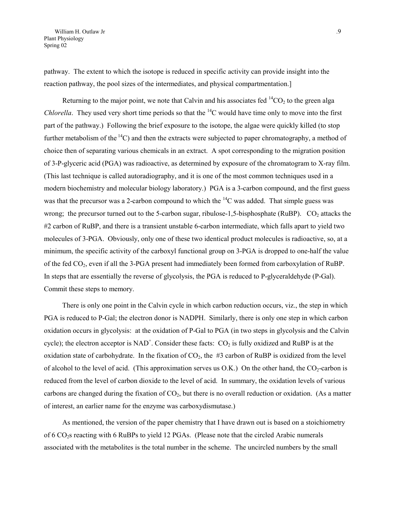pathway. The extent to which the isotope is reduced in specific activity can provide insight into the reaction pathway, the pool sizes of the intermediates, and physical compartmentation.]

Returning to the major point, we note that Calvin and his associates fed  ${}^{14}CO_2$  to the green alga *Chlorella*. They used very short time periods so that the <sup>14</sup>C would have time only to move into the first part of the pathway.) Following the brief exposure to the isotope, the algae were quickly killed (to stop further metabolism of the  $^{14}$ C) and then the extracts were subjected to paper chromatography, a method of choice then of separating various chemicals in an extract. A spot corresponding to the migration position of 3-P-glyceric acid (PGA) was radioactive, as determined by exposure of the chromatogram to X-ray film. (This last technique is called autoradiography, and it is one of the most common techniques used in a modern biochemistry and molecular biology laboratory.) PGA is a 3-carbon compound, and the first guess was that the precursor was a 2-carbon compound to which the  ${}^{14}C$  was added. That simple guess was wrong; the precursor turned out to the 5-carbon sugar, ribulose-1,5-bisphosphate (RuBP).  $CO<sub>2</sub>$  attacks the #2 carbon of RuBP, and there is a transient unstable 6-carbon intermediate, which falls apart to yield two molecules of 3-PGA. Obviously, only one of these two identical product molecules is radioactive, so, at a minimum, the specific activity of the carboxyl functional group on 3-PGA is dropped to one-half the value of the fed CO<sub>2</sub>, even if all the 3-PGA present had immediately been formed from carboxylation of RuBP. In steps that are essentially the reverse of glycolysis, the PGA is reduced to P-glyceraldehyde (P-Gal). Commit these steps to memory.

There is only one point in the Calvin cycle in which carbon reduction occurs, viz., the step in which PGA is reduced to P-Gal; the electron donor is NADPH. Similarly, there is only one step in which carbon oxidation occurs in glycolysis: at the oxidation of P-Gal to PGA (in two steps in glycolysis and the Calvin cycle); the electron acceptor is  $NAD^+$ . Consider these facts:  $CO_2$  is fully oxidized and RuBP is at the oxidation state of carbohydrate. In the fixation of  $CO<sub>2</sub>$ , the #3 carbon of RuBP is oxidized from the level of alcohol to the level of acid. (This approximation serves us O.K.) On the other hand, the  $CO_2$ -carbon is reduced from the level of carbon dioxide to the level of acid. In summary, the oxidation levels of various carbons are changed during the fixation of  $CO<sub>2</sub>$ , but there is no overall reduction or oxidation. (As a matter of interest, an earlier name for the enzyme was carboxydismutase.)

As mentioned, the version of the paper chemistry that I have drawn out is based on a stoichiometry of 6 CO2s reacting with 6 RuBPs to yield 12 PGAs. (Please note that the circled Arabic numerals associated with the metabolites is the total number in the scheme. The uncircled numbers by the small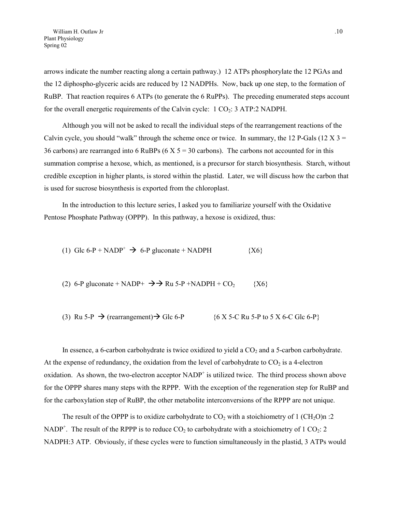arrows indicate the number reacting along a certain pathway.) 12 ATPs phosphorylate the 12 PGAs and the 12 diphospho-glyceric acids are reduced by 12 NADPHs. Now, back up one step, to the formation of RuBP. That reaction requires 6 ATPs (to generate the 6 RuPPs). The preceding enumerated steps account for the overall energetic requirements of the Calvin cycle:  $1 \text{ CO}_2$ :  $3 \text{ ATP}:2 \text{ NADPH}.$ 

Although you will not be asked to recall the individual steps of the rearrangement reactions of the Calvin cycle, you should "walk" through the scheme once or twice. In summary, the 12 P-Gals (12 X  $3 =$ 36 carbons) are rearranged into 6 RuBPs ( $6 \times 5 = 30$  carbons). The carbons not accounted for in this summation comprise a hexose, which, as mentioned, is a precursor for starch biosynthesis. Starch, without credible exception in higher plants, is stored within the plastid. Later, we will discuss how the carbon that is used for sucrose biosynthesis is exported from the chloroplast.

In the introduction to this lecture series, I asked you to familiarize yourself with the Oxidative Pentose Phosphate Pathway (OPPP). In this pathway, a hexose is oxidized, thus:

(1) Glc 6-P + NADP<sup>+</sup> 
$$
\rightarrow
$$
 6-P gluconate + NADPH {X6}

(2) 6-P gluconate + NADP+ 
$$
\rightarrow
$$
 Ru 5-P +NADPH + CO<sub>2</sub> {X6}

(3) Ru 5-P 
$$
\rightarrow
$$
 (rearrangement)  $\rightarrow$  Glc 6-P {6 X 5-C Ru 5-P to 5 X 6-C Glc 6-P}

In essence, a 6-carbon carbohydrate is twice oxidized to yield a  $CO<sub>2</sub>$  and a 5-carbon carbohydrate. At the expense of redundancy, the oxidation from the level of carbohydrate to  $CO<sub>2</sub>$  is a 4-electron oxidation. As shown, the two-electron acceptor  $NADP<sup>+</sup>$  is utilized twice. The third process shown above for the OPPP shares many steps with the RPPP. With the exception of the regeneration step for RuBP and for the carboxylation step of RuBP, the other metabolite interconversions of the RPPP are not unique.

The result of the OPPP is to oxidize carbohydrate to  $CO<sub>2</sub>$  with a stoichiometry of 1 (CH<sub>2</sub>O)n :2 NADP<sup>+</sup>. The result of the RPPP is to reduce  $CO_2$  to carbohydrate with a stoichiometry of 1  $CO_2$ : 2 NADPH:3 ATP. Obviously, if these cycles were to function simultaneously in the plastid, 3 ATPs would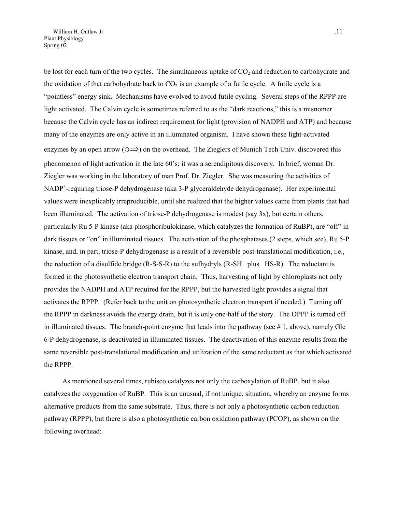be lost for each turn of the two cycles. The simultaneous uptake of  $CO<sub>2</sub>$  and reduction to carbohydrate and the oxidation of that carbohydrate back to  $CO<sub>2</sub>$  is an example of a futile cycle. A futile cycle is a "pointless" energy sink. Mechanisms have evolved to avoid futile cycling. Several steps of the RPPP are light activated. The Calvin cycle is sometimes referred to as the "dark reactions," this is a misnomer because the Calvin cycle has an indirect requirement for light (provision of NADPH and ATP) and because many of the enzymes are only active in an illuminated organism. I have shown these light-activated enzymes by an open arrow ( $\circ \Rightarrow$ ) on the overhead. The Zieglers of Munich Tech Univ. discovered this phenomenon of light activation in the late 60's; it was a serendipitous discovery. In brief, woman Dr. Ziegler was working in the laboratory of man Prof. Dr. Ziegler. She was measuring the activities of NADP<sup>+</sup>-requiring triose-P dehydrogenase (aka 3-P glyceraldehyde dehydrogenase). Her experimental values were inexplicably irreproducible, until she realized that the higher values came from plants that had been illuminated. The activation of triose-P dehydrogenase is modest (say 3x), but certain others, particularly Ru 5-P kinase (aka phosphoribulokinase, which catalyzes the formation of RuBP), are "off" in dark tissues or "on" in illuminated tissues. The activation of the phosphatases (2 steps, which see), Ru 5-P kinase, and, in part, triose-P dehydrogenase is a result of a reversible post-translational modification, i.e., the reduction of a disulfide bridge (R-S-S-R) to the sufhydryls (R-SH plus HS-R). The reductant is formed in the photosynthetic electron transport chain. Thus, harvesting of light by chloroplasts not only provides the NADPH and ATP required for the RPPP, but the harvested light provides a signal that activates the RPPP. (Refer back to the unit on photosynthetic electron transport if needed.) Turning off the RPPP in darkness avoids the energy drain, but it is only one-half of the story. The OPPP is turned off in illuminated tissues. The branch-point enzyme that leads into the pathway (see  $# 1$ , above), namely Glc 6-P dehydrogenase, is deactivated in illuminated tissues. The deactivation of this enzyme results from the same reversible post-translational modification and utilization of the same reductant as that which activated the RPPP.

As mentioned several times, rubisco catalyzes not only the carboxylation of RuBP, but it also catalyzes the oxygenation of RuBP. This is an unusual, if not unique, situation, whereby an enzyme forms alternative products from the same substrate. Thus, there is not only a photosynthetic carbon reduction pathway (RPPP), but there is also a photosynthetic carbon oxidation pathway (PCOP), as shown on the following overhead: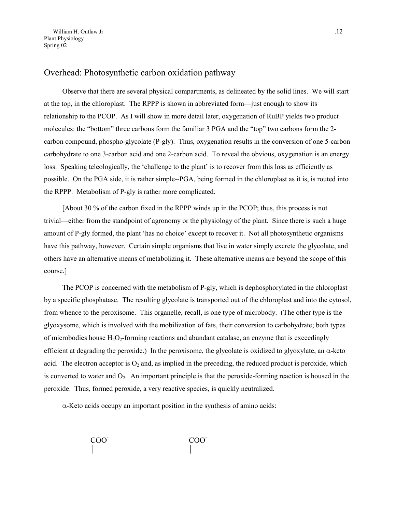### Overhead: Photosynthetic carbon oxidation pathway

Observe that there are several physical compartments, as delineated by the solid lines. We will start at the top, in the chloroplast. The RPPP is shown in abbreviated form—just enough to show its relationship to the PCOP. As I will show in more detail later, oxygenation of RuBP yields two product molecules: the "bottom" three carbons form the familiar 3 PGA and the "top" two carbons form the 2 carbon compound, phospho-glycolate (P-gly). Thus, oxygenation results in the conversion of one 5-carbon carbohydrate to one 3-carbon acid and one 2-carbon acid. To reveal the obvious, oxygenation is an energy loss. Speaking teleologically, the 'challenge to the plant' is to recover from this loss as efficiently as possible. On the PGA side, it is rather simple--PGA, being formed in the chloroplast as it is, is routed into the RPPP. Metabolism of P-gly is rather more complicated.

[About 30 % of the carbon fixed in the RPPP winds up in the PCOP; thus, this process is not trivial—either from the standpoint of agronomy or the physiology of the plant. Since there is such a huge amount of P-gly formed, the plant 'has no choice' except to recover it. Not all photosynthetic organisms have this pathway, however. Certain simple organisms that live in water simply excrete the glycolate, and others have an alternative means of metabolizing it. These alternative means are beyond the scope of this course.]

The PCOP is concerned with the metabolism of P-gly, which is dephosphorylated in the chloroplast by a specific phosphatase. The resulting glycolate is transported out of the chloroplast and into the cytosol, from whence to the peroxisome. This organelle, recall, is one type of microbody. (The other type is the glyoxysome, which is involved with the mobilization of fats, their conversion to carbohydrate; both types of microbodies house  $H_2O_2$ -forming reactions and abundant catalase, an enzyme that is exceedingly efficient at degrading the peroxide.) In the peroxisome, the glycolate is oxidized to glyoxylate, an  $\alpha$ -keto acid. The electron acceptor is  $O_2$  and, as implied in the preceding, the reduced product is peroxide, which is converted to water and  $O_2$ . An important principle is that the peroxide-forming reaction is housed in the peroxide. Thus, formed peroxide, a very reactive species, is quickly neutralized.

 $\alpha$ -Keto acids occupy an important position in the synthesis of amino acids:

$$
\begin{array}{ccc}\n\text{COO} & & & \text{COO} \\
\mid & & & \n\end{array}
$$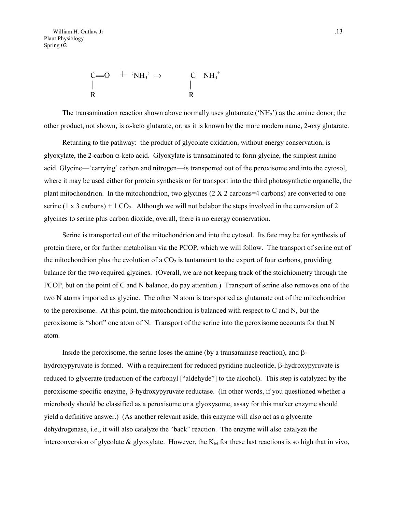$$
\begin{array}{ccc}\nC==O & + & 'NH_3' \Rightarrow & C-MH_3^+ \\
\mid & & \mid & \mid \\
R & & R\n\end{array}
$$

The transamination reaction shown above normally uses glutamate ( $\mathrm{NH}_2$ ) as the amine donor; the other product, not shown, is  $\alpha$ -keto glutarate, or, as it is known by the more modern name, 2-oxy glutarate.

Returning to the pathway: the product of glycolate oxidation, without energy conservation, is glyoxylate, the 2-carbon  $\alpha$ -keto acid. Glyoxylate is transaminated to form glycine, the simplest amino acid. Glycine—'carrying' carbon and nitrogen—is transported out of the peroxisome and into the cytosol, where it may be used either for protein synthesis or for transport into the third photosynthetic organelle, the plant mitochondrion. In the mitochondrion, two glycines  $(2 \times 2 \text{ carbons} = 4 \text{ carbons})$  are converted to one serine (1 x 3 carbons) + 1  $CO<sub>2</sub>$ . Although we will not belabor the steps involved in the conversion of 2 glycines to serine plus carbon dioxide, overall, there is no energy conservation.

Serine is transported out of the mitochondrion and into the cytosol. Its fate may be for synthesis of protein there, or for further metabolism via the PCOP, which we will follow. The transport of serine out of the mitochondrion plus the evolution of a  $CO<sub>2</sub>$  is tantamount to the export of four carbons, providing balance for the two required glycines. (Overall, we are not keeping track of the stoichiometry through the PCOP, but on the point of C and N balance, do pay attention.) Transport of serine also removes one of the two N atoms imported as glycine. The other N atom is transported as glutamate out of the mitochondrion to the peroxisome. At this point, the mitochondrion is balanced with respect to C and N, but the peroxisome is "short" one atom of N. Transport of the serine into the peroxisome accounts for that N atom.

Inside the peroxisome, the serine loses the amine (by a transaminase reaction), and  $\beta$ hydroxypyruvate is formed. With a requirement for reduced pyridine nucleotide,  $\beta$ -hydroxypyruvate is reduced to glycerate (reduction of the carbonyl ["aldehyde"] to the alcohol). This step is catalyzed by the peroxisome-specific enzyme,  $\beta$ -hydroxypyruvate reductase. (In other words, if you questioned whether a microbody should be classified as a peroxisome or a glyoxysome, assay for this marker enzyme should yield a definitive answer.) (As another relevant aside, this enzyme will also act as a glycerate dehydrogenase, i.e., it will also catalyze the "back" reaction. The enzyme will also catalyze the interconversion of glycolate  $\&$  glyoxylate. However, the  $K_M$  for these last reactions is so high that in vivo,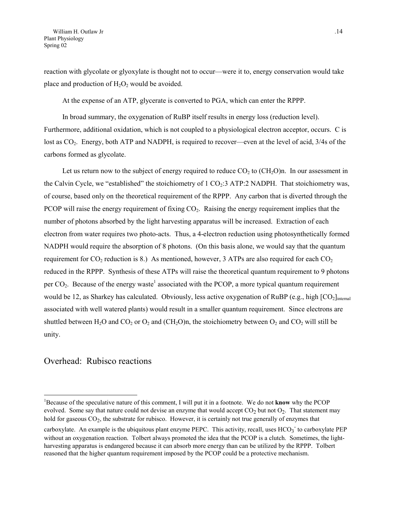reaction with glycolate or glyoxylate is thought not to occur—were it to, energy conservation would take place and production of  $H_2O_2$  would be avoided.

At the expense of an ATP, glycerate is converted to PGA, which can enter the RPPP.

In broad summary, the oxygenation of RuBP itself results in energy loss (reduction level). Furthermore, additional oxidation, which is not coupled to a physiological electron acceptor, occurs. C is lost as  $CO<sub>2</sub>$ . Energy, both ATP and NADPH, is required to recover—even at the level of acid, 3/4s of the carbons formed as glycolate.

Let us return now to the subject of energy required to reduce  $CO<sub>2</sub>$  to  $(CH<sub>2</sub>O)$ n. In our assessment in the Calvin Cycle, we "established" the stoichiometry of 1  $CO<sub>2</sub>$ :3 ATP:2 NADPH. That stoichiometry was, of course, based only on the theoretical requirement of the RPPP. Any carbon that is diverted through the PCOP will raise the energy requirement of fixing  $CO<sub>2</sub>$ . Raising the energy requirement implies that the number of photons absorbed by the light harvesting apparatus will be increased. Extraction of each electron from water requires two photo-acts. Thus, a 4-electron reduction using photosynthetically formed NADPH would require the absorption of 8 photons. (On this basis alone, we would say that the quantum requirement for  $CO_2$  reduction is 8.) As mentioned, however, 3 ATPs are also required for each  $CO_2$ reduced in the RPPP. Synthesis of these ATPs will raise the theoretical quantum requirement to 9 photons per  $CO<sub>2</sub>$ . Because of the energy waste<sup>1</sup> [a](#page-13-0)ssociated with the PCOP, a more typical quantum requirement would be 12, as Sharkey has calculated. Obviously, less active oxygenation of RuBP (e.g., high  $[CO<sub>2</sub>]_{\text{internal}}$ ) associated with well watered plants) would result in a smaller quantum requirement. Since electrons are shuttled between H<sub>2</sub>O and CO<sub>2</sub> or O<sub>2</sub> and (CH<sub>2</sub>O)n, the stoichiometry between O<sub>2</sub> and CO<sub>2</sub> will still be unity.

#### Overhead: Rubisco reactions

 $\overline{a}$ 

<span id="page-13-0"></span><sup>&</sup>lt;sup>1</sup>Because of the speculative nature of this comment, I will put it in a footnote. We do not **know** why the PCOP evolved. Some say that nature could not devise an enzyme that would accept  $CO<sub>2</sub>$  but not  $O<sub>2</sub>$ . That statement may hold for gaseous CO<sub>2</sub>, the substrate for rubisco. However, it is certainly not true generally of enzymes that

carboxylate. An example is the ubiquitous plant enzyme PEPC. This activity, recall, uses  $HCO_3$  to carboxylate PEP without an oxygenation reaction. Tolbert always promoted the idea that the PCOP is a clutch. Sometimes, the lightharvesting apparatus is endangered because it can absorb more energy than can be utilized by the RPPP. Tolbert reasoned that the higher quantum requirement imposed by the PCOP could be a protective mechanism.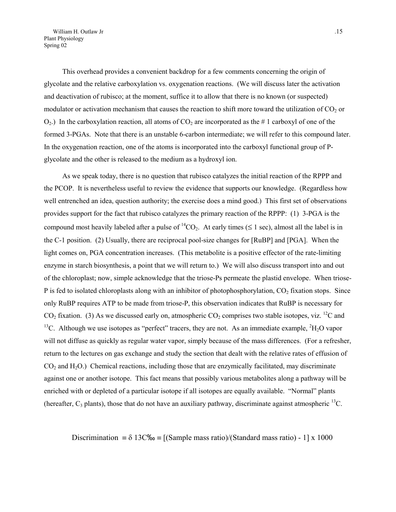This overhead provides a convenient backdrop for a few comments concerning the origin of glycolate and the relative carboxylation vs. oxygenation reactions. (We will discuss later the activation and deactivation of rubisco; at the moment, suffice it to allow that there is no known (or suspected) modulator or activation mechanism that causes the reaction to shift more toward the utilization of  $CO<sub>2</sub>$  or  $O_2$ .) In the carboxylation reaction, all atoms of  $CO_2$  are incorporated as the # 1 carboxyl of one of the formed 3-PGAs. Note that there is an unstable 6-carbon intermediate; we will refer to this compound later. In the oxygenation reaction, one of the atoms is incorporated into the carboxyl functional group of Pglycolate and the other is released to the medium as a hydroxyl ion.

As we speak today, there is no question that rubisco catalyzes the initial reaction of the RPPP and the PCOP. It is nevertheless useful to review the evidence that supports our knowledge. (Regardless how well entrenched an idea, question authority; the exercise does a mind good.) This first set of observations provides support for the fact that rubisco catalyzes the primary reaction of the RPPP: (1) 3-PGA is the compound most heavily labeled after a pulse of <sup>14</sup>CO<sub>2</sub>. At early times ( $\leq$  1 sec), almost all the label is in the C-1 position. (2) Usually, there are reciprocal pool-size changes for [RuBP] and [PGA]. When the light comes on, PGA concentration increases. (This metabolite is a positive effector of the rate-limiting enzyme in starch biosynthesis, a point that we will return to.) We will also discuss transport into and out of the chloroplast; now, simple acknowledge that the triose-Ps permeate the plastid envelope. When triose-P is fed to isolated chloroplasts along with an inhibitor of photophosphorylation,  $CO<sub>2</sub>$  fixation stops. Since only RuBP requires ATP to be made from triose-P, this observation indicates that RuBP is necessary for  $CO<sub>2</sub>$  fixation. (3) As we discussed early on, atmospheric  $CO<sub>2</sub>$  comprises two stable isotopes, viz. <sup>12</sup>C and <sup>13</sup>C. Although we use isotopes as "perfect" tracers, they are not. As an immediate example,  ${}^{2}H_{2}O$  vapor will not diffuse as quickly as regular water vapor, simply because of the mass differences. (For a refresher, return to the lectures on gas exchange and study the section that dealt with the relative rates of effusion of  $CO<sub>2</sub>$  and  $H<sub>2</sub>O$ .) Chemical reactions, including those that are enzymically facilitated, may discriminate against one or another isotope. This fact means that possibly various metabolites along a pathway will be enriched with or depleted of a particular isotope if all isotopes are equally available. "Normal" plants (hereafter,  $C_3$  plants), those that do not have an auxiliary pathway, discriminate against atmospheric  $^{13}C$ .

Discrimination =  $\delta$  13C‰ = [(Sample mass ratio)/(Standard mass ratio) - 1] x 1000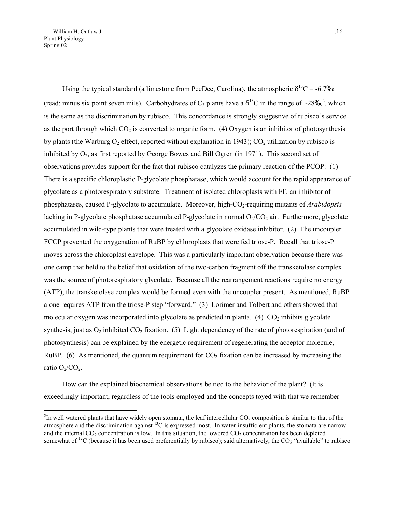<span id="page-15-0"></span>William H. Outlaw Jr ... 16 Plant Physiology Spring 02

 $\overline{a}$ 

Using the typical standard (a limestone from PeeDee, Carolina), the atmospheric  $\delta^{13}C = -6.7\%$ (read: minus six point seven mils). Carbohydrates of C<sub>3</sub> plants have a  $\delta^{13}$ C in the range of -[2](#page-15-0)8‰<sup>2</sup>, which is the same as the discrimination by rubisco. This concordance is strongly suggestive of rubisco's service as the port through which  $CO_2$  is converted to organic form. (4) Oxygen is an inhibitor of photosynthesis by plants (the Warburg  $O_2$  effect, reported without explanation in 1943);  $CO_2$  utilization by rubisco is inhibited by  $O_2$ , as first reported by George Bowes and Bill Ogren (in 1971). This second set of observations provides support for the fact that rubisco catalyzes the primary reaction of the PCOP: (1) There is a specific chloroplastic P-glycolate phosphatase, which would account for the rapid appearance of glycolate as a photorespiratory substrate. Treatment of isolated chloroplasts with Fl, an inhibitor of phosphatases, caused P-glycolate to accumulate. Moreover, high-CO2-requiring mutants of *Arabidopsis* lacking in P-glycolate phosphatase accumulated P-glycolate in normal  $O_2/CO_2$  air. Furthermore, glycolate accumulated in wild-type plants that were treated with a glycolate oxidase inhibitor. (2) The uncoupler FCCP prevented the oxygenation of RuBP by chloroplasts that were fed triose-P. Recall that triose-P moves across the chloroplast envelope. This was a particularly important observation because there was one camp that held to the belief that oxidation of the two-carbon fragment off the transketolase complex was the source of photorespiratory glycolate. Because all the rearrangement reactions require no energy (ATP), the transketolase complex would be formed even with the uncoupler present. As mentioned, RuBP alone requires ATP from the triose-P step "forward." (3) Lorimer and Tolbert and others showed that molecular oxygen was incorporated into glycolate as predicted in planta. (4)  $CO<sub>2</sub>$  inhibits glycolate synthesis, just as  $O_2$  inhibited  $CO_2$  fixation. (5) Light dependency of the rate of photorespiration (and of photosynthesis) can be explained by the energetic requirement of regenerating the acceptor molecule, RuBP. (6) As mentioned, the quantum requirement for  $CO<sub>2</sub>$  fixation can be increased by increasing the ratio  $O_2/CO_2$ .

How can the explained biochemical observations be tied to the behavior of the plant? (It is exceedingly important, regardless of the tools employed and the concepts toyed with that we remember

 $2$ In well watered plants that have widely open stomata, the leaf intercellular  $CO_2$  composition is similar to that of the atmosphere and the discrimination against  ${}^{13}C$  is expressed most. In water-insufficient plants, the stomata are narrow and the internal  $CO_2$  concentration is low. In this situation, the lowered  $CO_2$  concentration has been depleted somewhat of <sup>12</sup>C (because it has been used preferentially by rubisco); said alternatively, the  $CO_2$  "available" to rubisco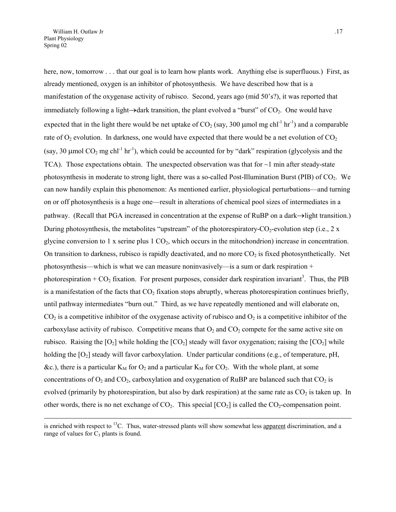<span id="page-16-0"></span> $\overline{a}$ 

here, now, tomorrow . . . that our goal is to learn how plants work. Anything else is superfluous.) First, as already mentioned, oxygen is an inhibitor of photosynthesis. We have described how that is a manifestation of the oxygenase activity of rubisco. Second, years ago (mid 50's?), it was reported that immediately following a light $\rightarrow$ dark transition, the plant evolved a "burst" of  $CO<sub>2</sub>$ . One would have expected that in the light there would be net uptake of  $CO_2$  (say, 300 µmol mg chl<sup>-1</sup> hr<sup>-1</sup>) and a comparable rate of  $O_2$  evolution. In darkness, one would have expected that there would be a net evolution of  $CO_2$ (say, 30  $\mu$ mol CO<sub>2</sub> mg chl<sup>-1</sup> hr<sup>-1</sup>), which could be accounted for by "dark" respiration (glycolysis and the TCA). Those expectations obtain. The unexpected observation was that for  $\sim$ 1 min after steady-state photosynthesis in moderate to strong light, there was a so-called Post-Illumination Burst (PIB) of CO<sub>2</sub>. We can now handily explain this phenomenon: As mentioned earlier, physiological perturbations—and turning on or off photosynthesis is a huge one—result in alterations of chemical pool sizes of intermediates in a pathway. (Recall that PGA increased in concentration at the expense of RuBP on a dark  $\rightarrow$  light transition.) During photosynthesis, the metabolites "upstream" of the photorespiratory- $CO_2$ -evolution step (i.e., 2 x glycine conversion to 1 x serine plus  $1 \text{ CO}_2$ , which occurs in the mitochondrion) increase in concentration. On transition to darkness, rubisco is rapidly deactivated, and no more  $CO<sub>2</sub>$  is fixed photosynthetically. Net photosynthesis—which is what we can measure noninvasively—is a sum or dark respiration + photorespiration +  $CO_2$  fixation[.](#page-16-0) For present purposes, consider dark respiration invariant<sup>3</sup>. Thus, the PIB is a manifestation of the facts that  $CO<sub>2</sub>$  fixation stops abruptly, whereas photorespiration continues briefly, until pathway intermediates "burn out." Third, as we have repeatedly mentioned and will elaborate on,  $CO<sub>2</sub>$  is a competitive inhibitor of the oxygenase activity of rubisco and  $O<sub>2</sub>$  is a competitive inhibitor of the carboxylase activity of rubisco. Competitive means that  $O_2$  and  $CO_2$  compete for the same active site on rubisco. Raising the  $[O_2]$  while holding the  $[CO_2]$  steady will favor oxygenation; raising the  $[CO_2]$  while holding the  $[O_2]$  steady will favor carboxylation. Under particular conditions (e.g., of temperature, pH, &c.), there is a particular  $K_M$  for  $O_2$  and a particular  $K_M$  for  $CO_2$ . With the whole plant, at some concentrations of  $O_2$  and  $CO_2$ , carboxylation and oxygenation of RuBP are balanced such that  $CO_2$  is evolved (primarily by photorespiration, but also by dark respiration) at the same rate as  $CO<sub>2</sub>$  is taken up. In other words, there is no net exchange of  $CO<sub>2</sub>$ . This special  $[CO<sub>2</sub>]$  is called the  $CO<sub>2</sub>$ -compensation point.

is enriched with respect to  $^{13}C$ . Thus, water-stressed plants will show somewhat less apparent discrimination, and a range of values for  $C_3$  plants is found.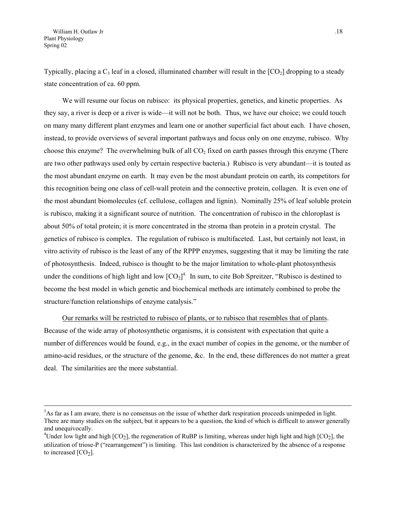Typically, placing a  $C_3$  leaf in a closed, illuminated chamber will result in the  $[CO_2]$  dropping to a steady state concentration of ca. 60 ppm.

We will resume our focus on rubisco: its physical properties, genetics, and kinetic properties. As they say, a river is deep or a river is wide—it will not be both. Thus, we have our choice; we could touch on many many different plant enzymes and learn one or another superficial fact about each. I have chosen, instead, to provide overviews of several important pathways and focus only on one enzyme, rubisco. Why choose this enzyme? The overwhelming bulk of all  $CO<sub>2</sub>$  fixed on earth passes through this enzyme (There are two other pathways used only by certain respective bacteria.) Rubisco is very abundant—it is touted as the most abundant enzyme on earth. It may even be the most abundant protein on earth, its competitors for this recognition being one class of cell-wall protein and the connective protein, collagen. It is even one of the most abundant biomolecules (cf. cellulose, collagen and lignin). Nominally 25% of leaf soluble protein is rubisco, making it a significant source of nutrition. The concentration of rubisco in the chloroplast is about 50% of total protein; it is more concentrated in the stroma than protein in a protein crystal. The genetics of rubisco is complex. The regulation of rubisco is multifaceted. Last, but certainly not least, in vitro activity of rubisco is the least of any of the RPPP enzymes, suggesting that it may be limiting the rate of photosynthesis. Indeed, rubisco is thought to be the major limitation to whole-plant photosynthesis under the conditions of high light and low  $[CO_2]^4$ . In sum, to cite Bob Spreitzer, "Rubisco is destined to become the best model in which genetic and biochemical methods are intimately combined to probe the structure/function relationships of enzyme catalysis."

Our remarks will be restricted to rubisco of plants, or to rubisco that resembles that of plants. Because of the wide array of photosynthetic organisms, it is consistent with expectation that quite a number of differences would be found, e.g., in the exact number of copies in the genome, or the number of amino-acid residues, or the structure of the genome, &c. In the end, these differences do not matter a great deal. The similarities are the more substantial.

<sup>&</sup>lt;sup>3</sup> <sup>3</sup>As far as I am aware, there is no consensus on the issue of whether dark respiration proceeds unimpeded in light. There are many studies on the subject, but it appears to be a question, the kind of which is difficult to answer generally and unequivocally.

<span id="page-17-0"></span><sup>&</sup>lt;sup>4</sup>Under low light and high [CO<sub>2</sub>], the regeneration of RuBP is limiting, whereas under high light and high [CO<sub>2</sub>], the utilization of triose-P ("rearrangement") is limiting. This last condition is characterized by the absence of a response to increased  $[CO<sub>2</sub>]$ .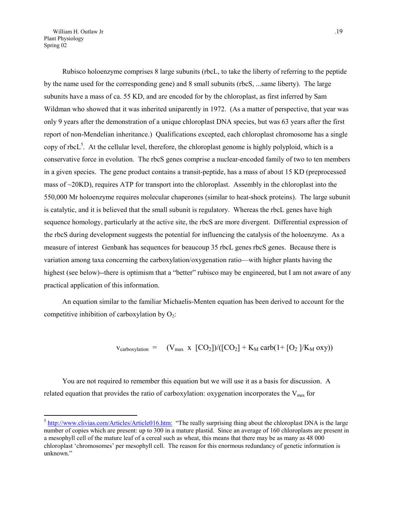William H. Outlaw Jr ... 19 Plant Physiology Spring 02

 $\overline{a}$ 

Rubisco holoenzyme comprises 8 large subunits (rbcL, to take the liberty of referring to the peptide by the name used for the corresponding gene) and 8 small subunits (rbcS, ...same liberty). The large subunits have a mass of ca. 55 KD, and are encoded for by the chloroplast, as first inferred by Sam Wildman who showed that it was inherited uniparently in 1972. (As a matter of perspective, that year was only 9 years after the demonstration of a unique chloroplast DNA species, but was 63 years after the first report of non-Mendelian inheritance.) Qualifications excepted, each chloroplast chromosome has a single copy of rbcL<sup>5</sup>[.](#page-18-0) At the cellular level, therefore, the chloroplast genome is highly polyploid, which is a conservative force in evolution. The rbcS genes comprise a nuclear-encoded family of two to ten members in a given species. The gene product contains a transit-peptide, has a mass of about 15 KD (preprocessed mass of  $\sim$ 20KD), requires ATP for transport into the chloroplast. Assembly in the chloroplast into the 550,000 Mr holoenzyme requires molecular chaperones (similar to heat-shock proteins). The large subunit is catalytic, and it is believed that the small subunit is regulatory. Whereas the rbcL genes have high sequence homology, particularly at the active site, the rbcS are more divergent. Differential expression of the rbcS during development suggests the potential for influencing the catalysis of the holoenzyme. As a measure of interest Genbank has sequences for beaucoup 35 rbcL genes rbcS genes. Because there is variation among taxa concerning the carboxylation/oxygenation ratio—with higher plants having the highest (see below)--there is optimism that a "better" rubisco may be engineered, but I am not aware of any practical application of this information.

An equation similar to the familiar Michaelis-Menten equation has been derived to account for the competitive inhibition of carboxylation by  $O_2$ :

$$
v_{\text{carboxylation}} = (V_{\text{max}} \times [CO_2]) / ([CO_2] + K_M \text{ carb}(1 + [O_2]) / K_M \text{ oxy}))
$$

You are not required to remember this equation but we will use it as a basis for discussion. A related equation that provides the ratio of carboxylation: oxygenation incorporates the  $V_{\text{max}}$  for

<span id="page-18-0"></span> $5 \frac{\text{http://www.clivias.com/Articles/Article016.htm:}}{\text{http://www.clivias.com/Articles/Article016.htm:}}$  "The really surprising thing about the chloroplast DNA is the large number of copies which are present: up to 300 in a mature plastid. Since an average of 160 chloroplasts are present in a mesophyll cell of the mature leaf of a cereal such as wheat, this means that there may be as many as 48 000 chloroplast 'chromosomes' per mesophyll cell. The reason for this enormous redundancy of genetic information is unknown."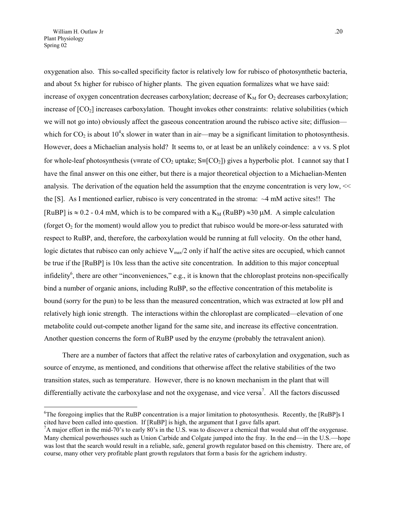$\overline{a}$ 

oxygenation also. This so-called specificity factor is relatively low for rubisco of photosynthetic bacteria, and about 5x higher for rubisco of higher plants. The given equation formalizes what we have said: increase of oxygen concentration decreases carboxylation; decrease of  $K_M$  for  $O_2$  decreases carboxylation; increase of  $[CO_2]$  increases carboxylation. Thought invokes other constraints: relative solubilities (which we will not go into) obviously affect the gaseous concentration around the rubisco active site; diffusion which for  $CO_2$  is about  $10^4$ x slower in water than in air—may be a significant limitation to photosynthesis. However, does a Michaelian analysis hold? It seems to, or at least be an unlikely coindence: a v vs. S plot for whole-leaf photosynthesis (v=rate of CO<sub>2</sub> uptake;  $S=[CO_2]$ ) gives a hyperbolic plot. I cannot say that I have the final answer on this one either, but there is a major theoretical objection to a Michaelian-Menten analysis. The derivation of the equation held the assumption that the enzyme concentration is very low, << the [S]. As I mentioned earlier, rubisco is very concentrated in the stroma: ~4 mM active sites!! The [RuBP] is  $\approx$  0.2 - 0.4 mM, which is to be compared with a K<sub>M</sub> (RuBP)  $\approx$ 30 µM. A simple calculation (forget  $O<sub>2</sub>$  for the moment) would allow you to predict that rubisco would be more-or-less saturated with respect to RuBP, and, therefore, the carboxylation would be running at full velocity. On the other hand, logic dictates that rubisco can only achieve  $V_{\text{max}}/2$  only if half the active sites are occupied, which cannot be true if the [RuBP] is 10x less than the active site concentration. In addition to this major conceptual infidelity<sup>[6](#page-19-0)</sup>, there are other "inconveniences," e.g., it is known that the chloroplast proteins non-specifically bind a number of organic anions, including RuBP, so the effective concentration of this metabolite is bound (sorry for the pun) to be less than the measured concentration, which was extracted at low pH and relatively high ionic strength. The interactions within the chloroplast are complicated—elevation of one metabolite could out-compete another ligand for the same site, and increase its effective concentration. Another question concerns the form of RuBP used by the enzyme (probably the tetravalent anion).

There are a number of factors that affect the relative rates of carboxylation and oxygenation, such as source of enzyme, as mentioned, and conditions that otherwise affect the relative stabilities of the two transition states, such as temperature. However, there is no known mechanism in the plant that will differentially activate the carboxylase and not the oxygenase, and vice versa<sup>7</sup>[.](#page-19-1) All the factors discussed

<span id="page-19-0"></span><sup>&</sup>lt;sup>6</sup>The foregoing implies that the RuBP concentration is a major limitation to photosynthesis. Recently, the [RuBP]s I cited have been called into question. If [RuBP] is high, the argument that I gave falls apart. 7

<span id="page-19-1"></span> $A^7$ A major effort in the mid-70's to early 80's in the U.S. was to discover a chemical that would shut off the oxygenase. Many chemical powerhouses such as Union Carbide and Colgate jumped into the fray. In the end—in the U.S.—hope was lost that the search would result in a reliable, safe, general growth regulator based on this chemistry. There are, of course, many other very profitable plant growth regulators that form a basis for the agrichem industry.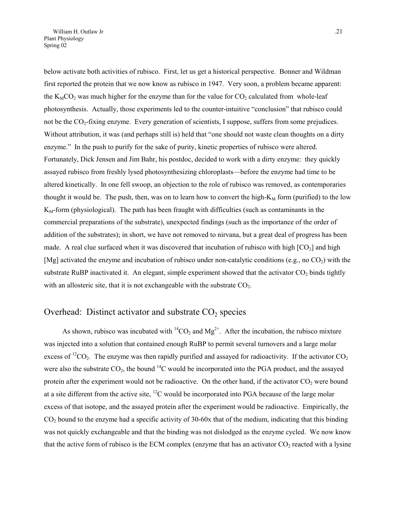below activate both activities of rubisco. First, let us get a historical perspective. Bonner and Wildman first reported the protein that we now know as rubisco in 1947. Very soon, a problem became apparent: the  $K_MCO_2$  was much higher for the enzyme than for the value for  $CO_2$  calculated from whole-leaf photosynthesis. Actually, those experiments led to the counter-intuitive "conclusion" that rubisco could not be the CO2-fixing enzyme. Every generation of scientists, I suppose, suffers from some prejudices. Without attribution, it was (and perhaps still is) held that "one should not waste clean thoughts on a dirty enzyme." In the push to purify for the sake of purity, kinetic properties of rubisco were altered. Fortunately, Dick Jensen and Jim Bahr, his postdoc, decided to work with a dirty enzyme: they quickly assayed rubisco from freshly lysed photosynthesizing chloroplasts—before the enzyme had time to be altered kinetically. In one fell swoop, an objection to the role of rubisco was removed, as contemporaries thought it would be. The push, then, was on to learn how to convert the high- $K_M$  form (purified) to the low  $K<sub>M</sub>$ -form (physiological). The path has been fraught with difficulties (such as contaminants in the commercial preparations of the substrate), unexpected findings (such as the importance of the order of addition of the substrates); in short, we have not removed to nirvana, but a great deal of progress has been made. A real clue surfaced when it was discovered that incubation of rubisco with high  $[CO<sub>2</sub>]$  and high [Mg] activated the enzyme and incubation of rubisco under non-catalytic conditions (e.g., no  $CO<sub>2</sub>$ ) with the substrate RuBP inactivated it. An elegant, simple experiment showed that the activator  $CO<sub>2</sub>$  binds tightly with an allosteric site, that it is not exchangeable with the substrate  $CO<sub>2</sub>$ .

### Overhead: Distinct activator and substrate  $CO<sub>2</sub>$  species

As shown, rubisco was incubated with  ${}^{14}CO_2$  and  $Mg^{2+}$ . After the incubation, the rubisco mixture was injected into a solution that contained enough RuBP to permit several turnovers and a large molar excess of  ${}^{12}CO_2$ . The enzyme was then rapidly purified and assayed for radioactivity. If the activator  $CO_2$ were also the substrate  $CO_2$ , the bound <sup>14</sup>C would be incorporated into the PGA product, and the assayed protein after the experiment would not be radioactive. On the other hand, if the activator  $CO<sub>2</sub>$  were bound at a site different from the active site,  $^{12}$ C would be incorporated into PGA because of the large molar excess of that isotope, and the assayed protein after the experiment would be radioactive. Empirically, the  $CO<sub>2</sub>$  bound to the enzyme had a specific activity of 30-60x that of the medium, indicating that this binding was not quickly exchangeable and that the binding was not dislodged as the enzyme cycled. We now know that the active form of rubisco is the ECM complex (enzyme that has an activator  $CO_2$  reacted with a lysine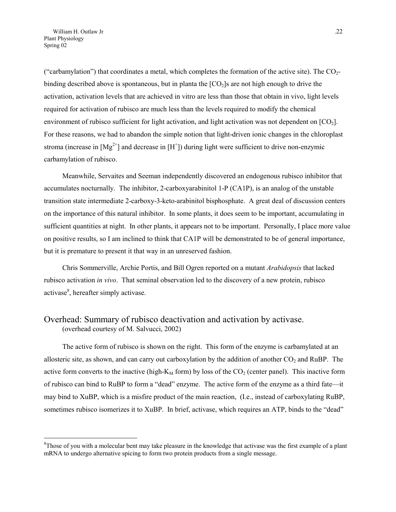("carbamylation") that coordinates a metal, which completes the formation of the active site). The  $CO<sub>2</sub>$ binding described above is spontaneous, but in planta the  $[CO<sub>2</sub>]$  are not high enough to drive the activation, activation levels that are achieved in vitro are less than those that obtain in vivo, light levels required for activation of rubisco are much less than the levels required to modify the chemical environment of rubisco sufficient for light activation, and light activation was not dependent on  $[CO_2]$ . For these reasons, we had to abandon the simple notion that light-driven ionic changes in the chloroplast stroma (increase in  $[Mg^{2+}]$  and decrease in  $[H^+]$ ) during light were sufficient to drive non-enzymic carbamylation of rubisco.

Meanwhile, Servaites and Seeman independently discovered an endogenous rubisco inhibitor that accumulates nocturnally. The inhibitor, 2-carboxyarabinitol 1-P (CA1P), is an analog of the unstable transition state intermediate 2-carboxy-3-keto-arabinitol bisphosphate. A great deal of discussion centers on the importance of this natural inhibitor. In some plants, it does seem to be important, accumulating in sufficient quantities at night. In other plants, it appears not to be important. Personally, I place more value on positive results, so I am inclined to think that CA1P will be demonstrated to be of general importance, but it is premature to present it that way in an unreserved fashion.

Chris Sommerville, Archie Portis, and Bill Ogren reported on a mutant *Arabidopsis* that lacked rubisco activation *in vivo*. That seminal observation led to the discovery of a new protein, rubisco activase<sup>[8](#page-21-0)</sup>, hereafter simply activase.

# Overhead: Summary of rubisco deactivation and activation by activase.

(overhead courtesy of M. Salvucci, 2002)

 $\overline{a}$ 

The active form of rubisco is shown on the right. This form of the enzyme is carbamylated at an allosteric site, as shown, and can carry out carboxylation by the addition of another  $CO<sub>2</sub>$  and RuBP. The active form converts to the inactive (high- $K_M$  form) by loss of the  $CO_2$  (center panel). This inactive form of rubisco can bind to RuBP to form a "dead" enzyme. The active form of the enzyme as a third fate—it may bind to XuBP, which is a misfire product of the main reaction, (I.e., instead of carboxylating RuBP, sometimes rubisco isomerizes it to XuBP. In brief, activase, which requires an ATP, binds to the "dead"

<span id="page-21-0"></span><sup>&</sup>lt;sup>8</sup>Those of you with a molecular bent may take pleasure in the knowledge that activase was the first example of a plant mRNA to undergo alternative spicing to form two protein products from a single message.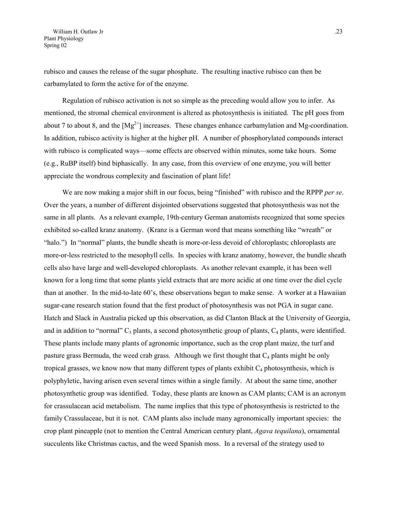rubisco and causes the release of the sugar phosphate. The resulting inactive rubisco can then be carbamylated to form the active for of the enzyme.

Regulation of rubisco activation is not so simple as the preceding would allow you to infer. As mentioned, the stromal chemical environment is altered as photosynthesis is initiated. The pH goes from about 7 to about 8, and the  $[Mg^{2+}]$  increases. These changes enhance carbamylation and Mg-coordination. In addition, rubisco activity is higher at the higher pH. A number of phosphorylated compounds interact with rubisco is complicated ways—some effects are observed within minutes, some take hours. Some (e.g., RuBP itself) bind biphasically. In any case, from this overview of one enzyme, you will better appreciate the wondrous complexity and fascination of plant life!

We are now making a major shift in our focus, being "finished" with rubisco and the RPPP *per se*. Over the years, a number of different disjointed observations suggested that photosynthesis was not the same in all plants. As a relevant example, 19th-century German anatomists recognized that some species exhibited so-called kranz anatomy. (Kranz is a German word that means something like "wreath" or "halo.") In "normal" plants, the bundle sheath is more-or-less devoid of chloroplasts; chloroplasts are more-or-less restricted to the mesophyll cells. In species with kranz anatomy, however, the bundle sheath cells also have large and well-developed chloroplasts. As another relevant example, it has been well known for a long time that some plants yield extracts that are more acidic at one time over the diel cycle than at another. In the mid-to-late 60's, these observations began to make sense. A worker at a Hawaiian sugar-cane research station found that the first product of photosynthesis was not PGA in sugar cane. Hatch and Slack in Australia picked up this observation, as did Clanton Black at the University of Georgia, and in addition to "normal"  $C_3$  plants, a second photosynthetic group of plants,  $C_4$  plants, were identified. These plants include many plants of agronomic importance, such as the crop plant maize, the turf and pasture grass Bermuda, the weed crab grass. Although we first thought that  $C_4$  plants might be only tropical grasses, we know now that many different types of plants exhibit  $C_4$  photosynthesis, which is polyphyletic, having arisen even several times within a single family. At about the same time, another photosynthetic group was identified. Today, these plants are known as CAM plants; CAM is an acronym for crassulacean acid metabolism. The name implies that this type of photosynthesis is restricted to the family Crassulaceae, but it is not. CAM plants also include many agronomically important species: the crop plant pineapple (not to mention the Central American century plant, *Agava tequilana*), ornamental succulents like Christmas cactus, and the weed Spanish moss. In a reversal of the strategy used to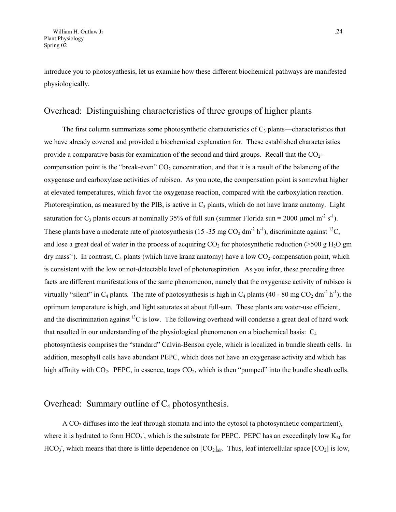introduce you to photosynthesis, let us examine how these different biochemical pathways are manifested physiologically.

### Overhead: Distinguishing characteristics of three groups of higher plants

The first column summarizes some photosynthetic characteristics of  $C_3$  plants—characteristics that we have already covered and provided a biochemical explanation for. These established characteristics provide a comparative basis for examination of the second and third groups. Recall that the  $CO<sub>2</sub>$ compensation point is the "break-even"  $CO<sub>2</sub>$  concentration, and that it is a result of the balancing of the oxygenase and carboxylase activities of rubisco. As you note, the compensation point is somewhat higher at elevated temperatures, which favor the oxygenase reaction, compared with the carboxylation reaction. Photorespiration, as measured by the PIB, is active in  $C_3$  plants, which do not have kranz anatomy. Light saturation for C<sub>3</sub> plants occurs at nominally 35% of full sun (summer Florida sun = 2000 umol m<sup>-2</sup> s<sup>-1</sup>). These plants have a moderate rate of photosynthesis (15 -35 mg CO<sub>2</sub> dm<sup>-2</sup> h<sup>-1</sup>), discriminate against <sup>13</sup>C, and lose a great deal of water in the process of acquiring  $CO<sub>2</sub>$  for photosynthetic reduction (>500 g H<sub>2</sub>O gm  $\alpha$  dry mass<sup>-1</sup>). In contrast,  $C_4$  plants (which have kranz anatomy) have a low CO<sub>2</sub>-compensation point, which is consistent with the low or not-detectable level of photorespiration. As you infer, these preceding three facts are different manifestations of the same phenomenon, namely that the oxygenase activity of rubisco is virtually "silent" in  $C_4$  plants. The rate of photosynthesis is high in  $C_4$  plants (40 - 80 mg  $CO_2$  dm<sup>-2</sup> h<sup>-1</sup>); the optimum temperature is high, and light saturates at about full-sun. These plants are water-use efficient, and the discrimination against  ${}^{13}C$  is low. The following overhead will condense a great deal of hard work that resulted in our understanding of the physiological phenomenon on a biochemical basis:  $C_4$ photosynthesis comprises the "standard" Calvin-Benson cycle, which is localized in bundle sheath cells. In addition, mesophyll cells have abundant PEPC, which does not have an oxygenase activity and which has high affinity with  $CO_2$ . PEPC, in essence, traps  $CO_2$ , which is then "pumped" into the bundle sheath cells.

## Overhead: Summary outline of  $C_4$  photosynthesis.

A CO2 diffuses into the leaf through stomata and into the cytosol (a photosynthetic compartment), where it is hydrated to form  $HCO<sub>3</sub>$ , which is the substrate for PEPC. PEPC has an exceedingly low  $K<sub>M</sub>$  for  $HCO<sub>3</sub>$ , which means that there is little dependence on  $[CO<sub>2</sub>]_{air}$ . Thus, leaf intercellular space  $[CO<sub>2</sub>]$  is low,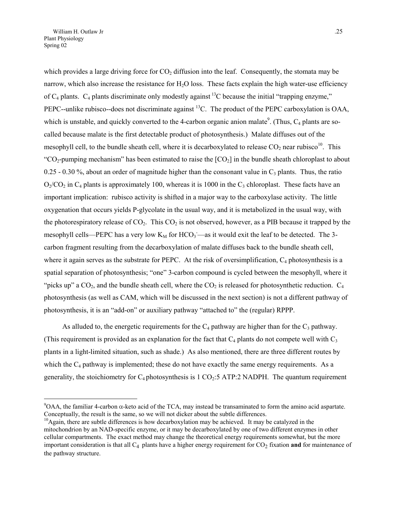$\overline{a}$ 

which provides a large driving force for  $CO<sub>2</sub>$  diffusion into the leaf. Consequently, the stomata may be narrow, which also increase the resistance for  $H_2O$  loss. These facts explain the high water-use efficiency of  $C_4$  plants.  $C_4$  plants discriminate only modestly against <sup>13</sup>C because the initial "trapping enzyme," PEPC--unlike rubisco--does not discriminate against <sup>13</sup>C. The product of the PEPC carboxylation is OAA, which is unstable, and quickly converted to the 4-carbon organic anion malate<sup>[9](#page-24-0)</sup>. (Thus,  $C_4$  plants are socalled because malate is the first detectable product of photosynthesis.) Malate diffuses out of the mesophyll cell, to the bundle sheath cell, where it is decarboxylated to release  $CO<sub>2</sub>$  near rubisco<sup>10</sup>. This "CO<sub>2</sub>-pumping mechanism" has been estimated to raise the  $[CO_2]$  in the bundle sheath chloroplast to about 0.25 - 0.30 %, about an order of magnitude higher than the consonant value in  $C_3$  plants. Thus, the ratio  $O_2/CO_2$  in  $C_4$  plants is approximately 100, whereas it is 1000 in the  $C_3$  chloroplast. These facts have an important implication: rubisco activity is shifted in a major way to the carboxylase activity. The little oxygenation that occurs yields P-glycolate in the usual way, and it is metabolized in the usual way, with the photorespiratory release of  $CO<sub>2</sub>$ . This  $CO<sub>2</sub>$  is not observed, however, as a PIB because it trapped by the mesophyll cells—PEPC has a very low  $K_M$  for  $HCO_3$ —as it would exit the leaf to be detected. The 3carbon fragment resulting from the decarboxylation of malate diffuses back to the bundle sheath cell, where it again serves as the substrate for PEPC. At the risk of oversimplification,  $C_4$  photosynthesis is a spatial separation of photosynthesis; "one" 3-carbon compound is cycled between the mesophyll, where it "picks up" a  $CO<sub>2</sub>$ , and the bundle sheath cell, where the  $CO<sub>2</sub>$  is released for photosynthetic reduction.  $C<sub>4</sub>$ photosynthesis (as well as CAM, which will be discussed in the next section) is not a different pathway of photosynthesis, it is an "add-on" or auxiliary pathway "attached to" the (regular) RPPP.

As alluded to, the energetic requirements for the  $C_4$  pathway are higher than for the  $C_3$  pathway. (This requirement is provided as an explanation for the fact that  $C_4$  plants do not compete well with  $C_3$ plants in a light-limited situation, such as shade.) As also mentioned, there are three different routes by which the  $C_4$  pathway is implemented; these do not have exactly the same energy requirements. As a generality, the stoichiometry for  $C_4$  photosynthesis is 1  $CO_2$ :5 ATP:2 NADPH. The quantum requirement

<span id="page-24-0"></span> $9OAA$ , the familiar 4-carbon  $\alpha$ -keto acid of the TCA, may instead be transaminated to form the amino acid aspartate. Conceptually, the result is the same, so we will not dicker about the subtle differences.

<span id="page-24-1"></span><sup>&</sup>lt;sup>10</sup>Again, there are subtle differences is how decarboxylation may be achieved. It may be catalyzed in the mitochondrion by an NAD-specific enzyme, or it may be decarboxylated by one of two different enzymes in other cellular compartments. The exact method may change the theoretical energy requirements somewhat, but the more important consideration is that all C<sub>4</sub> plants have a higher energy requirement for CO<sub>2</sub> fixation and for maintenance of the pathway structure.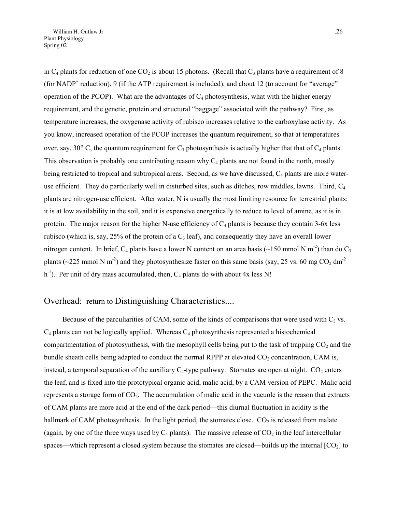in  $C_4$  plants for reduction of one  $CO_2$  is about 15 photons. (Recall that  $C_3$  plants have a requirement of 8 (for NADP<sup>+</sup> reduction), 9 (if the ATP requirement is included), and about 12 (to account for "average" operation of the PCOP). What are the advantages of  $C_4$  photosynthesis, what with the higher energy requirement, and the genetic, protein and structural "baggage" associated with the pathway? First, as temperature increases, the oxygenase activity of rubisco increases relative to the carboxylase activity. As you know, increased operation of the PCOP increases the quantum requirement, so that at temperatures over, say, 30 $\degree$  C, the quantum requirement for C<sub>3</sub> photosynthesis is actually higher that that of C<sub>4</sub> plants. This observation is probably one contributing reason why  $C_4$  plants are not found in the north, mostly being restricted to tropical and subtropical areas. Second, as we have discussed,  $C_4$  plants are more wateruse efficient. They do particularly well in disturbed sites, such as ditches, row middles, lawns. Third,  $C_4$ plants are nitrogen-use efficient. After water, N is usually the most limiting resource for terrestrial plants: it is at low availability in the soil, and it is expensive energetically to reduce to level of amine, as it is in protein. The major reason for the higher N-use efficiency of  $C_4$  plants is because they contain 3-6x less rubisco (which is, say, 25% of the protein of a  $C_3$  leaf), and consequently they have an overall lower nitrogen content. In brief, C<sub>4</sub> plants have a lower N content on an area basis (~150 mmol N m<sup>-2</sup>) than do C<sub>3</sub> plants ( $\sim$ 225 mmol N m<sup>-2</sup>) and they photosynthesize faster on this same basis (say, 25 vs. 60 mg CO<sub>2</sub> dm<sup>-2</sup>) h<sup>-1</sup>). Per unit of dry mass accumulated, then,  $C_4$  plants do with about 4x less N!

## Overhead: return to Distinguishing Characteristics....

Because of the parculiarities of CAM, some of the kinds of comparisons that were used with  $C_3$  vs.  $C_4$  plants can not be logically applied. Whereas  $C_4$  photosynthesis represented a histochemical compartmentation of photosynthesis, with the mesophyll cells being put to the task of trapping  $CO<sub>2</sub>$  and the bundle sheath cells being adapted to conduct the normal RPPP at elevated  $CO<sub>2</sub>$  concentration, CAM is, instead, a temporal separation of the auxiliary  $C_4$ -type pathway. Stomates are open at night.  $CO_2$  enters the leaf, and is fixed into the prototypical organic acid, malic acid, by a CAM version of PEPC. Malic acid represents a storage form of  $CO<sub>2</sub>$ . The accumulation of malic acid in the vacuole is the reason that extracts of CAM plants are more acid at the end of the dark period—this diurnal fluctuation in acidity is the hallmark of CAM photosynthesis. In the light period, the stomates close.  $CO<sub>2</sub>$  is released from malate (again, by one of the three ways used by  $C_4$  plants). The massive release of  $CO_2$  in the leaf intercellular spaces—which represent a closed system because the stomates are closed—builds up the internal  $[CO<sub>2</sub>]$  to